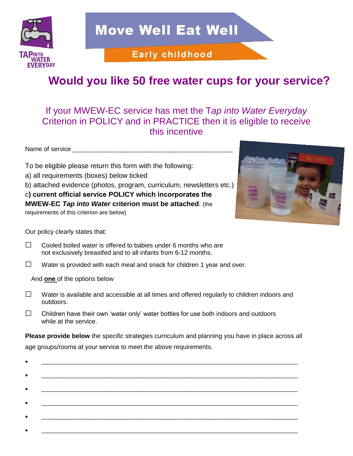

**Move Well Eat Well** 

**Early childhood** 

## **Would you like 50 free water cups for your service?**

## If your MWEW-EC service has met the T*ap into Water Everyday* Criterion in POLICY and in PRACTICE then it is eligible to receive this incentive

Name of service

To be eligible please return this form with the following:

- a) all requirements (boxes) below ticked
- b) attached evidence (photos, program, curriculum, newsletters etc.)

c**) current official service POLICY which incorporates the**

**MWEW-EC** *Tap into Water* **criterion must be attached**. (the

requirements of this criterion are below)



Our policy clearly states that:

- $\Box$  Cooled boiled water is offered to babies under 6 months who are not exclusively breastfed and to all infants from 6-12 months.
- □ Water is provided with each meal and snack for children 1 year and over.

And **one** of the options below

- □ Water is available and accessible at all times and offered regularly to children indoors and outdoors.
- $\Box$  Children have their own 'water only' water bottles for use both indoors and outdoors while at the service.

**Please provide below** the specific strategies curriculum and planning you have in place across all age groups/rooms at your service to meet the above requirements.

| с |  |  |
|---|--|--|
|   |  |  |
| ٠ |  |  |
|   |  |  |
| ٠ |  |  |
|   |  |  |
|   |  |  |
|   |  |  |
| ٠ |  |  |
|   |  |  |
|   |  |  |